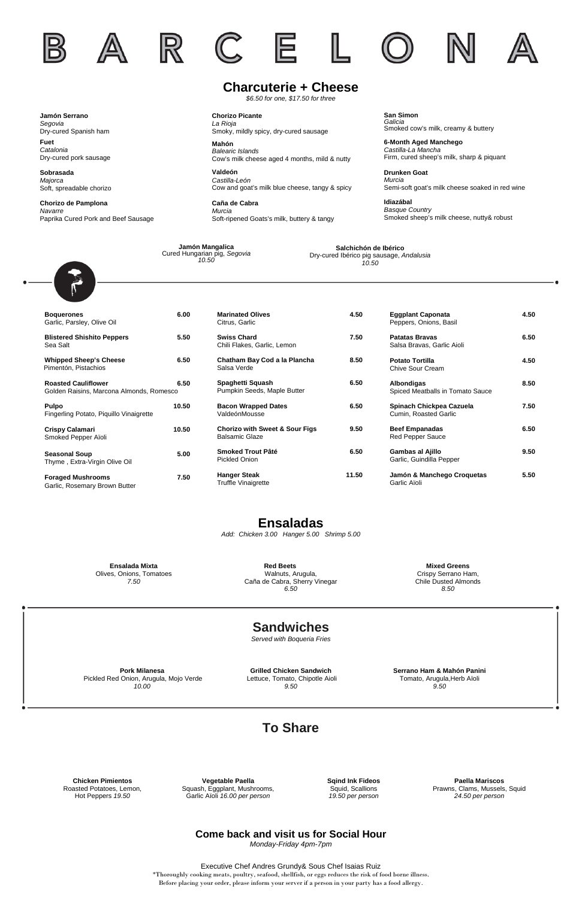**Tapas**

## **Ensaladas**

*Add: Chicken 3.00 Hanger 5.00 Shrimp 5.00*

Executive Chef Andres Grundy& Sous Chef Isaias Ruiz \*Thoroughly cooking meats, poultry, seafood, shellfish, or eggs reduces the risk of food borne illness. Before placing your order, please inform your server if a person in your party has a food allergy.

| <b>Marinated Olives</b><br>Citrus, Garlic                   | 4.50  |
|-------------------------------------------------------------|-------|
| <b>Swiss Chard</b><br>Chili Flakes, Garlic, Lemon           | 7.50  |
| Chatham Bay Cod a la Plancha<br>Salsa Verde                 | 8.50  |
| Spaghetti Squash<br>Pumpkin Seeds, Maple Butter             | 6.50  |
| <b>Bacon Wrapped Dates</b><br>ValdeónMousse                 | 6.50  |
| <b>Chorizo with Sweet &amp; Sour Figs</b><br>Balsamic Glaze | 9.50  |
| Smoked Trout Pâté<br>Pickled Onion                          | 6.50  |
| <b>Hanger Steak</b><br><b>Truffle Vinaigrette</b>           | 11.50 |

| <b>Boquerones</b><br>Garlic, Parsley, Olive Oil                        | 6.00  |
|------------------------------------------------------------------------|-------|
| <b>Blistered Shishito Peppers</b><br>Sea Salt                          | 5.50  |
| <b>Whipped Sheep's Cheese</b><br>Pimentón, Pistachios                  | 6.50  |
| <b>Roasted Cauliflower</b><br>Golden Raisins, Marcona Almonds, Romesco | 6.50  |
| <b>Pulpo</b><br>Fingerling Potato, Piguillo Vinaigrette                | 10.50 |
| <b>Crispy Calamari</b><br>Smoked Pepper Aïoli                          | 10.50 |
| <b>Seasonal Soup</b><br>Thyme, Extra-Virgin Olive Oil                  | 5.00  |
| <b>Foraged Mushrooms</b><br>Garlic, Rosemary Brown Butter              | 7.50  |

| <b>Eggplant Caponata</b><br>Peppers, Onions, Basil  | 4.50 |
|-----------------------------------------------------|------|
| <b>Patatas Bravas</b><br>Salsa Bravas, Garlic Aioli | 6.50 |
| <b>Potato Tortilla</b><br>Chive Sour Cream          | 4.50 |
| Albondigas<br>Spiced Meatballs in Tomato Sauce      | 8.50 |
| Spinach Chickpea Cazuela<br>Cumin, Roasted Garlic   | 7.50 |
| <b>Beef Empanadas</b><br><b>Red Pepper Sauce</b>    | 6.50 |
| Gambas al Ajillo<br>Garlic, Guindilla Pepper        | 9.50 |
| Jamón & Manchego Croquetas<br>Garlic Aïoli          | 5.50 |

# **Charcuterie + Cheese**

*\$6.50 for one, \$17.50 for three*

**Grilled Chicken Sandwich** Lettuce, Tomato, Chipotle Aioli *9.50*

**Serrano Ham & Mahón Panini** Tomato, Arugula,Herb Aïoli *9.50*

**Pork Milanesa** Pickled Red Onion, Arugula, Mojo Verde *10.00*

#### **Come back and visit us for Social Hour**

*Monday-Friday 4pm-7pm*

**Sandwiches** *Served with Boqueria Fries*

# **To Share**

**Ensalada Mixta** Olives, Onions, Tomatoes *7.50*

**Mixed Greens**  Crispy Serrano Ham, Chile Dusted Almonds *8.50*

 **Red Beets**  Walnuts, Arugula, Caña de Cabra, Sherry Vinegar *6.50*

**Chorizo Picante** *La Rioja* Smoky, mildly spicy, dry-cured sausage

**Mahón** *Balearic Islands* Cow's milk cheese aged 4 months, mild & nutty

**Valdeón** *Castilla-León* Cow and goat's milk blue cheese, tangy & spicy

**Caña de Cabra** *Murcia* Soft-ripened Goats's milk, buttery & tangy **San Simon** *Galicia* Smoked cow's milk, creamy & buttery

**6-Month Aged Manchego** *Castilla-La Mancha* Firm, cured sheep's milk, sharp & piquant

**Drunken Goat** *Murcia* Semi-soft goat's milk cheese soaked in red wine

**Idiazábal** *Basque Country* Smoked sheep's milk cheese, nutty& robust







**Fuet** *Catalonia* Dry-cured pork sausage

**Sobrasada** *Majorca* Soft, spreadable chorizo

**Chorizo de Pamplona** *Navarre* Paprika Cured Pork and Beef Sausage

> **Jamón Mangalica** Cured Hungarian pig, *Segovia 10.50*

**Salchichón de Ibérico** Dry-cured Ibérico pig sausage, *Andalusia 10.50*



**Chicken Pimientos** Roasted Potatoes, Lemon, Hot Peppers *19.50*

#### **Vegetable Paella** Squash, Eggplant, Mushrooms, Garlic Aïoli *16.00 per person*

**Sqind Ink Fideos** Squid, Scallions *19.50 per person*

**Paella Mariscos** Prawns, Clams, Mussels, Squid *24.50 per person*